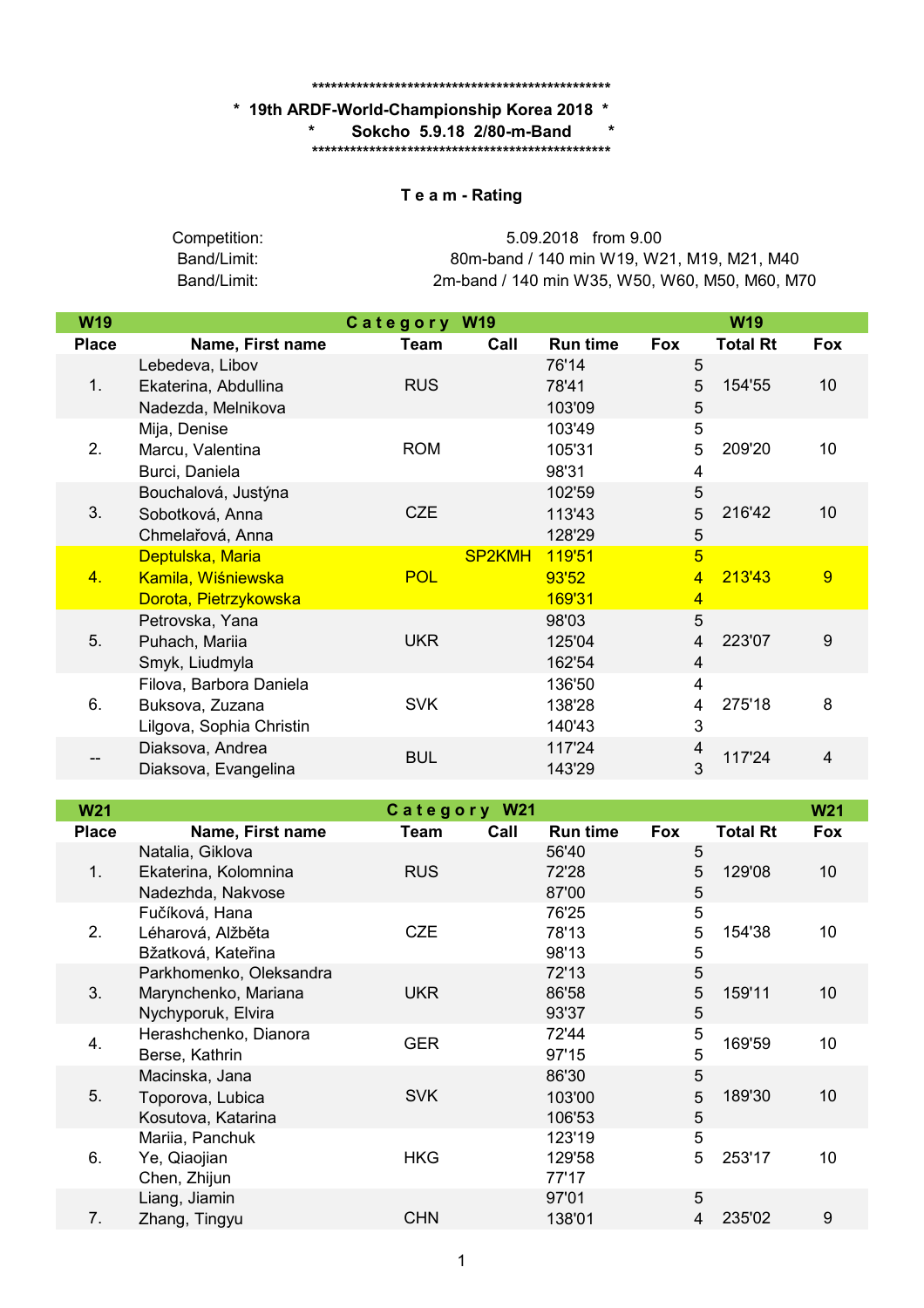## **\*\*\*\*\*\*\*\*\*\*\*\*\*\*\*\*\*\*\*\*\*\*\*\*\*\*\*\*\*\*\*\*\*\*\*\*\*\*\*\*\*\*\*\*\*\*\***

## **\* 19th ARDF-World-Championship Korea 2018 \***

**\* Sokcho 5.9.18 2/80-m-Band \***

**\*\*\*\*\*\*\*\*\*\*\*\*\*\*\*\*\*\*\*\*\*\*\*\*\*\*\*\*\*\*\*\*\*\*\*\*\*\*\*\*\*\*\*\*\*\*\***

## **T e a m - Rating**

| Competition: | 5.09.2018 from 9.00                            |
|--------------|------------------------------------------------|
| Band/Limit:  | 80m-band / 140 min W19, W21, M19, M21, M40     |
| Band/Limit:  | 2m-band / 140 min W35, W50, W60, M50, M60, M70 |

| <b>W19</b>   |                                                                        | Category W19 |               |                            |                                                    | <b>W19</b>      |                 |
|--------------|------------------------------------------------------------------------|--------------|---------------|----------------------------|----------------------------------------------------|-----------------|-----------------|
| <b>Place</b> | Name, First name                                                       | Team         | Call          | <b>Run time</b>            | Fox                                                | <b>Total Rt</b> | Fox             |
| 1.           | Lebedeva, Libov<br>Ekaterina, Abdullina<br>Nadezda, Melnikova          | <b>RUS</b>   |               | 76'14<br>78'41<br>103'09   | 5<br>5<br>5                                        | 154'55          | 10 <sup>1</sup> |
| 2.           | Mija, Denise<br>Marcu, Valentina<br>Burci, Daniela                     | <b>ROM</b>   |               | 103'49<br>105'31<br>98'31  | 5<br>5<br>4                                        | 209'20          | 10              |
| 3.           | Bouchalová, Justýna<br>Sobotková, Anna<br>Chmelařová, Anna             | <b>CZE</b>   |               | 102'59<br>113'43<br>128'29 | 5<br>5<br>5                                        | 216'42          | 10              |
| 4.           | Deptulska, Maria<br>Kamila, Wiśniewska<br>Dorota, Pietrzykowska        | <b>POL</b>   | <b>SP2KMH</b> | 119'51<br>93'52<br>169'31  | $\overline{5}$<br>$\overline{4}$<br>$\overline{4}$ | 213'43          | 9               |
| 5.           | Petrovska, Yana<br>Puhach, Mariia<br>Smyk, Liudmyla                    | <b>UKR</b>   |               | 98'03<br>125'04<br>162'54  | 5<br>4<br>4                                        | 223'07          | 9               |
| 6.           | Filova, Barbora Daniela<br>Buksova, Zuzana<br>Lilgova, Sophia Christin | <b>SVK</b>   |               | 136'50<br>138'28<br>140'43 | 4<br>4<br>3                                        | 275'18          | 8               |
|              | Diaksova, Andrea<br>Diaksova, Evangelina                               | <b>BUL</b>   |               | 117'24<br>143'29           | 4<br>3                                             | 117'24          | 4               |

| <b>W21</b>   |                                                                       | Category W21 |      |                           |             |                 | <b>W21</b> |
|--------------|-----------------------------------------------------------------------|--------------|------|---------------------------|-------------|-----------------|------------|
| <b>Place</b> | Name, First name                                                      | Team         | Call | <b>Run time</b>           | <b>Fox</b>  | <b>Total Rt</b> | <b>Fox</b> |
| 1.           | Natalia, Giklova<br>Ekaterina, Kolomnina<br>Nadezhda, Nakvose         | <b>RUS</b>   |      | 56'40<br>72'28<br>87'00   | 5<br>5<br>5 | 129'08          | 10         |
| 2.           | Fučíková, Hana<br>Léharová, Alžběta<br>Bžatková, Kateřina             | CZE          |      | 76'25<br>78'13<br>98'13   | 5<br>5<br>5 | 154'38          | 10         |
| 3.           | Parkhomenko, Oleksandra<br>Marynchenko, Mariana<br>Nychyporuk, Elvira | UKR          |      | 72'13<br>86'58<br>93'37   | 5<br>5<br>5 | 159'11          | 10         |
| 4.           | Herashchenko, Dianora<br>Berse, Kathrin                               | <b>GER</b>   |      | 72'44<br>97'15            | 5<br>5      | 169'59          | 10         |
| 5.           | Macinska, Jana<br>Toporova, Lubica<br>Kosutova, Katarina              | <b>SVK</b>   |      | 86'30<br>103'00<br>106'53 | 5<br>5<br>5 | 189'30          | 10         |
| 6.           | Mariia, Panchuk<br>Ye, Qiaojian<br>Chen, Zhijun                       | <b>HKG</b>   |      | 123'19<br>129'58<br>77'17 | 5<br>5      | 253'17          | 10         |
| 7.           | Liang, Jiamin<br>Zhang, Tingyu                                        | <b>CHN</b>   |      | 97'01<br>138'01           | 5<br>4      | 235'02          | 9          |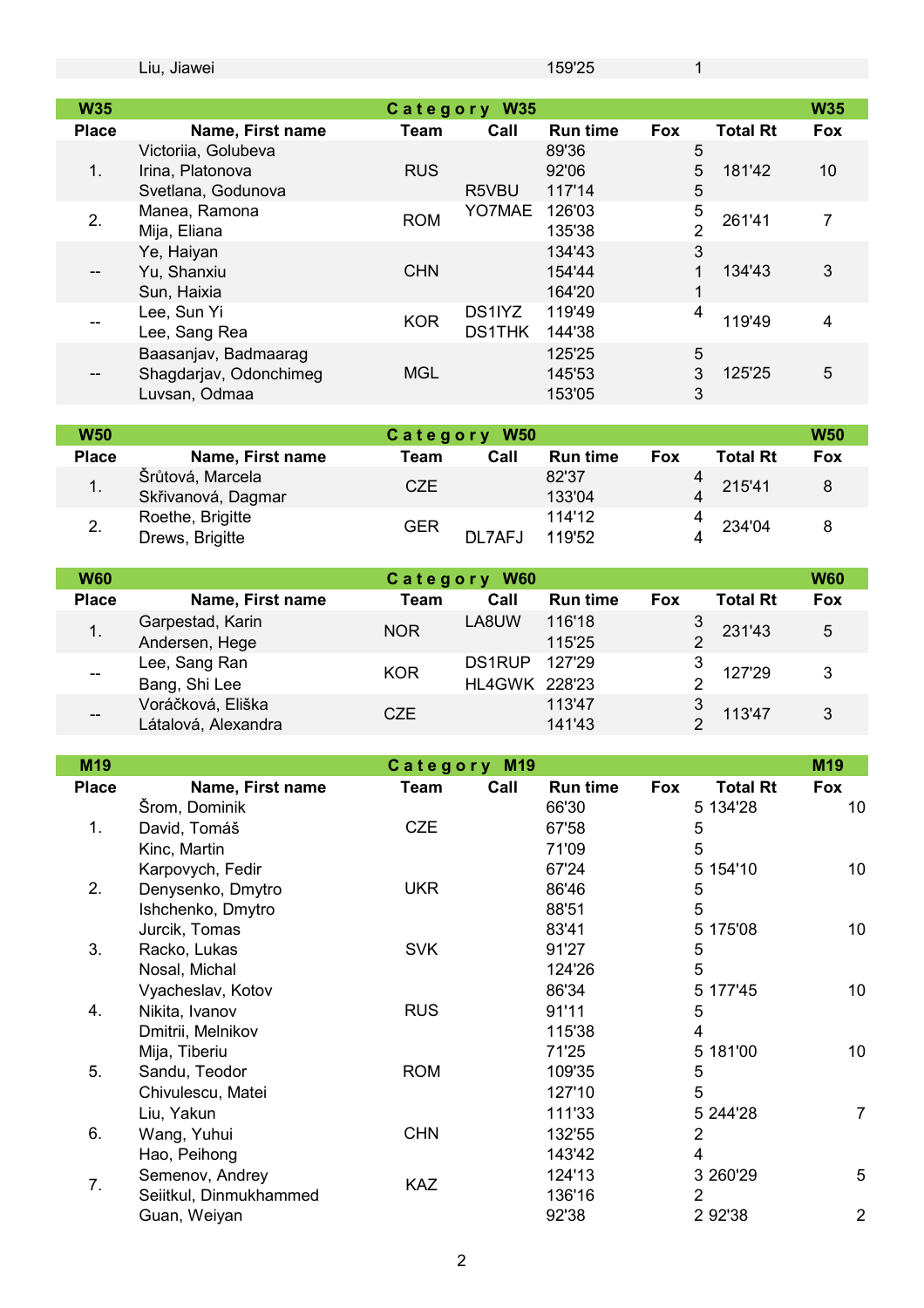|              | Liu, Jiawei                                                     |             |                                | 159'25                     |            | 1                             |                |
|--------------|-----------------------------------------------------------------|-------------|--------------------------------|----------------------------|------------|-------------------------------|----------------|
|              |                                                                 |             |                                |                            |            |                               |                |
| <b>W35</b>   |                                                                 |             | Category W35                   |                            |            |                               | <b>W35</b>     |
| <b>Place</b> | Name, First name<br>Victoriia, Golubeva                         | Team        | Call                           | <b>Run time</b><br>89'36   | <b>Fox</b> | <b>Total Rt</b><br>5          | <b>Fox</b>     |
| 1.           | Irina, Platonova<br>Svetlana, Godunova                          | <b>RUS</b>  | R5VBU                          | 92'06<br>117'14            |            | 5<br>181'42<br>5              | 10             |
| 2.           | Manea, Ramona<br>Mija, Eliana                                   | <b>ROM</b>  | YO7MAE                         | 126'03<br>135'38           |            | 5<br>261'41<br>$\overline{2}$ | $\overline{7}$ |
|              | Ye, Haiyan<br>Yu, Shanxiu<br>Sun, Haixia                        | <b>CHN</b>  |                                | 134'43<br>154'44<br>164'20 |            | 3<br>134'43<br>1<br>1         | $\mathfrak{S}$ |
|              | Lee, Sun Yi<br>Lee, Sang Rea                                    | <b>KOR</b>  | DS1IYZ<br><b>DS1THK</b>        | 119'49<br>144'38           |            | 4<br>119'49                   | $\overline{4}$ |
|              | Baasanjav, Badmaarag<br>Shagdarjav, Odonchimeg<br>Luvsan, Odmaa | <b>MGL</b>  |                                | 125'25<br>145'53<br>153'05 |            | 5<br>3<br>125'25<br>3         | 5              |
| <b>W50</b>   |                                                                 |             | Category W50                   |                            |            |                               | <b>W50</b>     |
| <b>Place</b> | Name, First name                                                | <b>Team</b> | Call                           | <b>Run time</b>            | <b>Fox</b> | <b>Total Rt</b>               | <b>Fox</b>     |
| 1.           | Šrůtová, Marcela                                                | <b>CZE</b>  |                                | 82'37                      |            | 4<br>215'41                   | $\bf 8$        |
|              | Skřivanová, Dagmar                                              |             |                                | 133'04                     |            | 4                             |                |
| 2.           | Roethe, Brigitte                                                | <b>GER</b>  |                                | 114'12                     |            | 4<br>234'04                   | 8              |
|              | Drews, Brigitte                                                 |             | DL7AFJ                         | 119'52                     |            | 4                             |                |
| <b>W60</b>   |                                                                 |             | Category W60                   |                            |            |                               | <b>W60</b>     |
| <b>Place</b> | Name, First name                                                | <b>Team</b> | Call                           | <b>Run time</b>            | Fox        | <b>Total Rt</b>               | <b>Fox</b>     |
| 1.           | Garpestad, Karin                                                | <b>NOR</b>  | LA8UW                          | 116'18                     |            | 3<br>231'43                   | 5              |
|              | Andersen, Hege                                                  |             |                                | 115'25                     |            | $\overline{2}$                |                |
|              | Lee, Sang Ran<br>Bang, Shi Lee                                  | <b>KOR</b>  | <b>DS1RUP</b><br>HL4GWK 228'23 | 127'29                     |            | 3<br>127'29<br>$\overline{2}$ | $\mathfrak{B}$ |
|              | Voráčková, Eliška<br>Látalová, Alexandra                        | <b>CZE</b>  |                                | 113'47<br>141'43           |            | $\frac{3}{2}$<br>113'47       | $\mathfrak{S}$ |
| M19          |                                                                 |             | Category M19                   |                            |            |                               | M19            |
| <b>Place</b> | Name, First name                                                | <b>Team</b> | Call                           | <b>Run time</b>            | Fox        | <b>Total Rt</b>               | Fox            |
| 1.           | Šrom, Dominik<br>David, Tomáš                                   | CZE         |                                | 66'30<br>67'58             |            | 5 134'28<br>5                 | 10             |
|              | Kinc, Martin<br>Karpovych, Fedir                                |             |                                | 71'09<br>67'24             |            | 5<br>5 154'10                 | 10             |
| 2.           | Denysenko, Dmytro<br>Ishchenko, Dmytro                          | <b>UKR</b>  |                                | 86'46<br>88'51             |            | 5<br>5                        |                |
|              | Jurcik, Tomas                                                   |             |                                | 83'41                      |            | 5<br>175'08                   | 10             |
| 3.           | Racko, Lukas                                                    | <b>SVK</b>  |                                | 91'27                      |            | 5                             |                |
|              | Nosal, Michal                                                   |             |                                | 124'26                     |            | 5                             |                |
|              | Vyacheslav, Kotov                                               |             |                                | 86'34                      |            | 5 177'45                      | 10             |
| 4.           | Nikita, Ivanov<br>Dmitrii, Melnikov                             | <b>RUS</b>  |                                | 91'11<br>115'38            |            | 5<br>4                        |                |
|              | Mija, Tiberiu                                                   |             |                                | 71'25                      |            | 5 181'00                      | 10             |
| 5.           | Sandu, Teodor                                                   | <b>ROM</b>  |                                | 109'35                     |            | 5                             |                |
|              | Chivulescu, Matei                                               |             |                                | 127'10                     |            | 5                             |                |
|              | Liu, Yakun                                                      |             |                                | 111'33                     |            | 5 244'28                      | 7              |
| 6.           | Wang, Yuhui                                                     | <b>CHN</b>  |                                | 132'55                     |            | $\overline{2}$                |                |
|              | Hao, Peihong                                                    |             |                                | 143'42                     |            | $\overline{\mathbf{4}}$       |                |
| 7.           | Semenov, Andrey<br>Seiitkul, Dinmukhammed                       | KAZ         |                                | 124'13<br>136'16           |            | 3 260'29<br>$\overline{2}$    | 5              |
|              | Guan, Weiyan                                                    |             |                                | 92'38                      |            | 2 92'38                       | $\overline{2}$ |
|              |                                                                 |             |                                |                            |            |                               |                |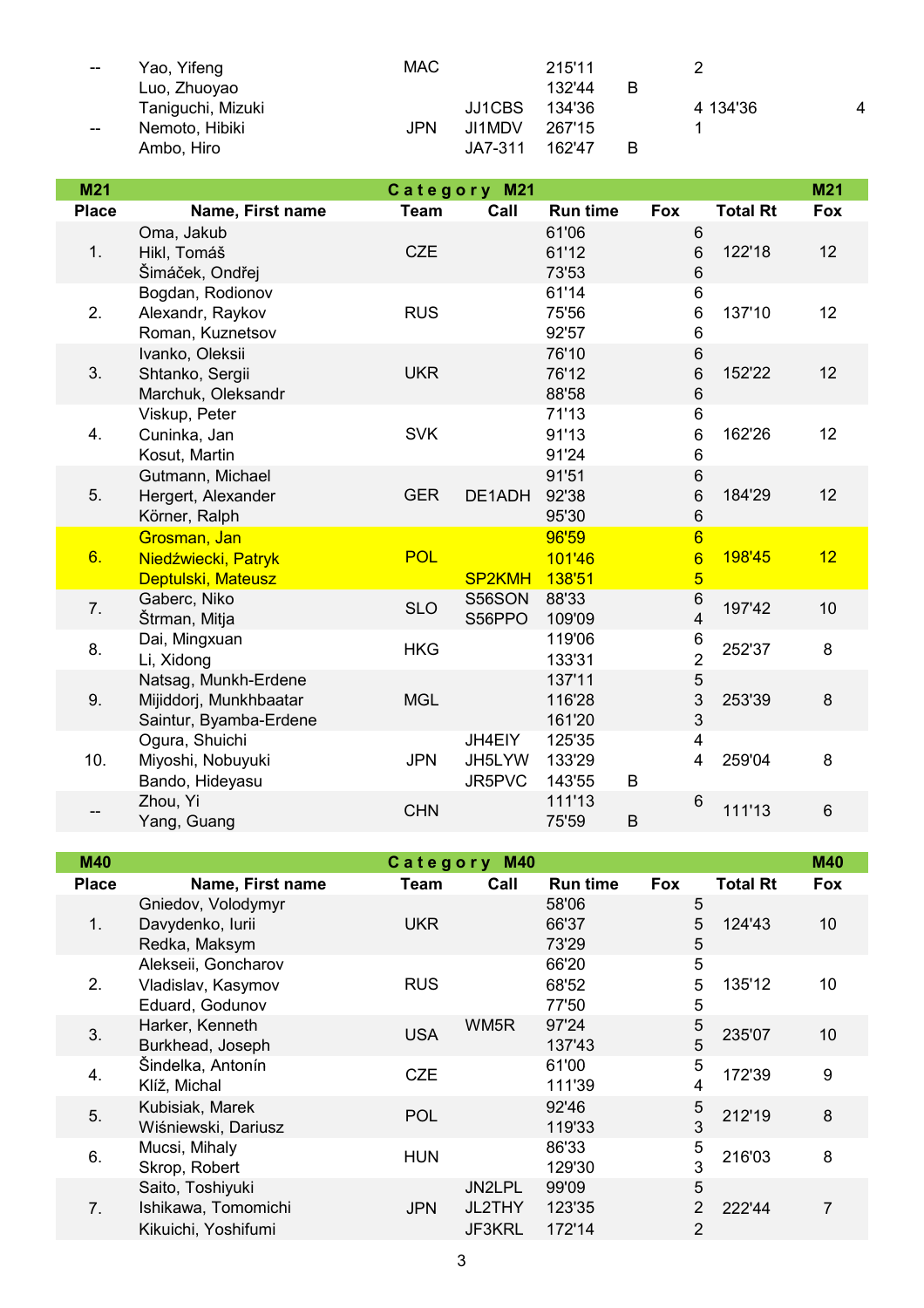| $\hspace{0.05cm}$ | Yao, Yifeng       | <b>MAC</b> |         | 215'11 |   |          |   |
|-------------------|-------------------|------------|---------|--------|---|----------|---|
|                   | Luo, Zhuoyao      |            |         | 132'44 | B |          |   |
|                   | Taniguchi, Mizuki |            | JJ1CBS  | 134'36 |   | 4 134'36 | Δ |
| $- -$             | Nemoto, Hibiki    | JPN        | JI1MDV  | 267'15 |   |          |   |
|                   | Ambo, Hiro        |            | JA7-311 | 162'47 | B |          |   |

| M21          |                                                                          |             | Category M21               |                            |                                                      |                 | M21             |
|--------------|--------------------------------------------------------------------------|-------------|----------------------------|----------------------------|------------------------------------------------------|-----------------|-----------------|
| <b>Place</b> | Name, First name                                                         | <b>Team</b> | Call                       | <b>Run time</b>            | <b>Fox</b>                                           | <b>Total Rt</b> | <b>Fox</b>      |
| 1.           | Oma, Jakub<br>Hikl, Tomáš<br>Šimáček, Ondřej                             | <b>CZE</b>  |                            | 61'06<br>61'12<br>73'53    | $6\phantom{1}$<br>6<br>6                             | 122'18          | 12              |
| 2.           | Bogdan, Rodionov<br>Alexandr, Raykov<br>Roman, Kuznetsov                 | <b>RUS</b>  |                            | 61'14<br>75'56<br>92'57    | 6<br>6<br>6                                          | 137'10          | 12 <sub>2</sub> |
| 3.           | Ivanko, Oleksii<br>Shtanko, Sergii<br>Marchuk, Oleksandr                 | <b>UKR</b>  |                            | 76'10<br>76'12<br>88'58    | 6<br>$\,6$<br>6                                      | 152'22          | 12              |
| 4.           | Viskup, Peter<br>Cuninka, Jan<br>Kosut, Martin                           | <b>SVK</b>  |                            | 71'13<br>91'13<br>91'24    | 6<br>6<br>6                                          | 162'26          | 12 <sub>2</sub> |
| 5.           | Gutmann, Michael<br>Hergert, Alexander<br>Körner, Ralph                  | <b>GER</b>  | DE1ADH                     | 91'51<br>92'38<br>95'30    | 6<br>6<br>6                                          | 184'29          | 12              |
| 6.           | Grosman, Jan<br>Niedźwiecki, Patryk<br>Deptulski, Mateusz                | <b>POL</b>  | <b>SP2KMH</b>              | 96'59<br>101'46<br>138'51  | $6\overline{6}$<br>$6\overline{6}$<br>$\overline{5}$ | 198'45          | 12              |
| 7.           | Gaberc, Niko<br>Štrman, Mitja                                            | <b>SLO</b>  | S56SON<br>S56PPO           | 88'33<br>109'09            | 6<br>$\overline{4}$                                  | 197'42          | 10              |
| 8.           | Dai, Mingxuan<br>Li, Xidong                                              | <b>HKG</b>  |                            | 119'06<br>133'31           | 6<br>$\overline{2}$                                  | 252'37          | 8               |
| 9.           | Natsag, Munkh-Erdene<br>Mijiddorj, Munkhbaatar<br>Saintur, Byamba-Erdene | <b>MGL</b>  |                            | 137'11<br>116'28<br>161'20 | 5<br>3<br>3                                          | 253'39          | 8               |
| 10.          | Ogura, Shuichi<br>Miyoshi, Nobuyuki<br>Bando, Hideyasu                   | <b>JPN</b>  | JH4EIY<br>JH5LYW<br>JR5PVC | 125'35<br>133'29<br>143'55 | $\overline{4}$<br>4<br>B                             | 259'04          | 8               |
|              | Zhou, Yi<br>Yang, Guang                                                  | <b>CHN</b>  |                            | 111'13<br>75'59            | $6\,$<br>B                                           | 111'13          | 6               |

| <b>M40</b>   |                                                                |            | Category M40               |                           |                                       |                 | <b>M40</b> |
|--------------|----------------------------------------------------------------|------------|----------------------------|---------------------------|---------------------------------------|-----------------|------------|
| <b>Place</b> | Name, First name                                               | Team       | Call                       | <b>Run time</b>           | <b>Fox</b>                            | <b>Total Rt</b> | Fox        |
| 1.           | Gniedov, Volodymyr<br>Davydenko, lurii<br>Redka, Maksym        | <b>UKR</b> |                            | 58'06<br>66'37<br>73'29   | 5<br>5<br>5                           | 124'43          | 10         |
| 2.           | Alekseii, Goncharov<br>Vladislav, Kasymov<br>Eduard, Godunov   | <b>RUS</b> |                            | 66'20<br>68'52<br>77'50   | 5<br>5<br>5                           | 135'12          | 10         |
| 3.           | Harker, Kenneth<br>Burkhead, Joseph                            | <b>USA</b> | WM5R                       | 97'24<br>137'43           | 5<br>5                                | 235'07          | 10         |
| 4.           | Šindelka, Antonín<br>Klíž, Michal                              | <b>CZE</b> |                            | 61'00<br>111'39           | 5<br>4                                | 172'39          | 9          |
| 5.           | Kubisiak, Marek<br>Wiśniewski, Dariusz                         | <b>POL</b> |                            | 92'46<br>119'33           | 5<br>3                                | 212'19          | 8          |
| 6.           | Mucsi, Mihaly<br>Skrop, Robert                                 | <b>HUN</b> |                            | 86'33<br>129'30           | 5<br>3                                | 216'03          | 8          |
| 7.           | Saito, Toshiyuki<br>Ishikawa, Tomomichi<br>Kikuichi, Yoshifumi | <b>JPN</b> | JN2LPL<br>JL2THY<br>JF3KRL | 99'09<br>123'35<br>172'14 | 5<br>$\overline{2}$<br>$\overline{2}$ | 222'44          | 7          |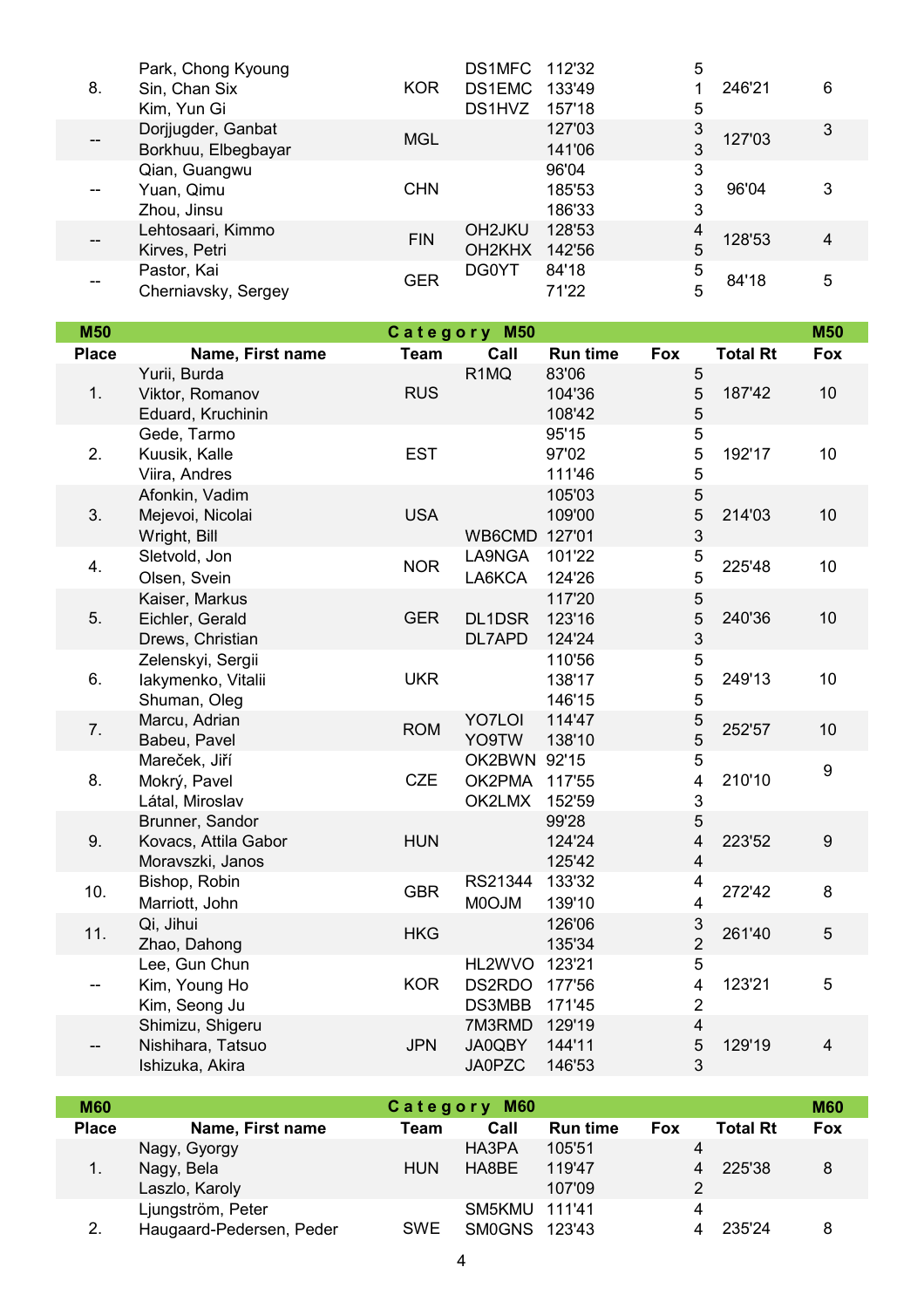| 8.                | Park, Chong Kyoung<br>Sin, Chan Six<br>Kim, Yun Gi | <b>KOR</b> | DS1MFC<br>DS1EMC<br>DS1HVZ                             | 112'32<br>133'49<br>157'18 | 5<br>5      | 246'21 | 6 |
|-------------------|----------------------------------------------------|------------|--------------------------------------------------------|----------------------------|-------------|--------|---|
| $\qquad \qquad -$ | Dorjjugder, Ganbat<br>Borkhuu, Elbegbayar          | <b>MGL</b> |                                                        | 127'03<br>141'06           | 3<br>3      | 127'03 | 3 |
| --                | Qian, Guangwu<br>Yuan, Qimu<br>Zhou, Jinsu         | <b>CHN</b> |                                                        | 96'04<br>185'53<br>186'33  | 3<br>3<br>3 | 96'04  | 3 |
|                   | Lehtosaari, Kimmo<br>Kirves, Petri                 | <b>FIN</b> | OH <sub>2</sub> JKU<br>OH <sub>2</sub> KH <sub>X</sub> | 128'53<br>142'56           | 5           | 128'53 | 4 |
| --                | Pastor, Kai<br>Cherniavsky, Sergey                 | GER        | <b>DG0YT</b>                                           | 84'18<br>71'22             | 5<br>5      | 84'18  | 5 |

| <b>M50</b>   |                                                             |             | Category M50                            |                            |                                                |                 | <b>M50</b>              |
|--------------|-------------------------------------------------------------|-------------|-----------------------------------------|----------------------------|------------------------------------------------|-----------------|-------------------------|
| <b>Place</b> | Name, First name                                            | <b>Team</b> | Call                                    | <b>Run time</b>            | Fox                                            | <b>Total Rt</b> | Fox                     |
| 1.           | Yurii, Burda<br>Viktor, Romanov<br>Eduard, Kruchinin        | <b>RUS</b>  | R <sub>1</sub> MQ                       | 83'06<br>104'36<br>108'42  | $\sqrt{5}$<br>5<br>5                           | 187'42          | 10                      |
| 2.           | Gede, Tarmo<br>Kuusik, Kalle<br>Viira, Andres               | <b>EST</b>  |                                         | 95'15<br>97'02<br>111'46   | 5<br>5<br>5                                    | 192'17          | 10                      |
| 3.           | Afonkin, Vadim<br>Mejevoi, Nicolai<br>Wright, Bill          | <b>USA</b>  | WB6CMD 127'01                           | 105'03<br>109'00           | $\mathbf 5$<br>5<br>$\mathfrak{B}$             | 214'03          | 10                      |
| 4.           | Sletvold, Jon<br>Olsen, Svein                               | <b>NOR</b>  | LA9NGA<br>LA6KCA                        | 101'22<br>124'26           | 5<br>$\overline{5}$                            | 225'48          | 10                      |
| 5.           | Kaiser, Markus<br>Eichler, Gerald<br>Drews, Christian       | <b>GER</b>  | DL1DSR<br>DL7APD                        | 117'20<br>123'16<br>124'24 | $\sqrt{5}$<br>5<br>$\mathfrak{B}$              | 240'36          | 10                      |
| 6.           | Zelenskyi, Sergii<br>lakymenko, Vitalii<br>Shuman, Oleg     | <b>UKR</b>  |                                         | 110'56<br>138'17<br>146'15 | 5<br>5<br>5                                    | 249'13          | 10                      |
| 7.           | Marcu, Adrian<br>Babeu, Pavel                               | <b>ROM</b>  | YO7LOI<br>YO9TW                         | 114'47<br>138'10           | $\frac{5}{5}$                                  | 252'57          | 10                      |
| 8.           | Mareček, Jiří<br>Mokrý, Pavel<br>Látal, Miroslav            | CZE         | OK2BWN 92'15<br>OK2PMA 117'55<br>OK2LMX | 152'59                     | 5<br>$\overline{\mathbf{4}}$<br>3              | 210'10          | $\boldsymbol{9}$        |
| 9.           | Brunner, Sandor<br>Kovacs, Attila Gabor<br>Moravszki, Janos | <b>HUN</b>  |                                         | 99'28<br>124'24<br>125'42  | 5<br>$\overline{\mathbf{4}}$<br>$\overline{4}$ | 223'52          | $\boldsymbol{9}$        |
| 10.          | Bishop, Robin<br>Marriott, John                             | <b>GBR</b>  | RS21344<br>MOOJM                        | 133'32<br>139'10           | 4<br>$\overline{\mathbf{4}}$                   | 272'42          | 8                       |
| 11.          | Qi, Jihui<br>Zhao, Dahong                                   | <b>HKG</b>  |                                         | 126'06<br>135'34           | $\frac{3}{2}$                                  | 261'40          | 5                       |
| --           | Lee, Gun Chun<br>Kim, Young Ho<br>Kim, Seong Ju             | <b>KOR</b>  | HL2WVO<br>DS2RDO<br>DS3MBB              | 123'21<br>177'56<br>171'45 | 5<br>$\overline{\mathbf{4}}$<br>$\overline{2}$ | 123'21          | 5                       |
| --           | Shimizu, Shigeru<br>Nishihara, Tatsuo<br>Ishizuka, Akira    | <b>JPN</b>  | 7M3RMD<br>JA0QBY<br><b>JA0PZC</b>       | 129'19<br>144'11<br>146'53 | $\overline{4}$<br>5<br>3                       | 129'19          | $\overline{\mathbf{4}}$ |

| <b>M60</b>     | Category M60             |            |               |                 |            |                 |     |  |
|----------------|--------------------------|------------|---------------|-----------------|------------|-----------------|-----|--|
| <b>Place</b>   | Name, First name         | Team       | Call          | <b>Run time</b> | <b>Fox</b> | <b>Total Rt</b> | Fox |  |
|                | Nagy, Gyorgy             |            | HA3PA         | 105'51          | 4          |                 |     |  |
| $\mathbf{1}$ . | Nagy, Bela               | <b>HUN</b> | HA8BE         | 119'47          |            | 225'38          | 8   |  |
|                | Laszlo, Karoly           |            |               | 107'09          | 2          |                 |     |  |
|                | Ljungström, Peter        |            | SM5KMU        | 111'41          | 4          |                 |     |  |
| 2.             | Haugaard-Pedersen, Peder | <b>SWE</b> | <b>SMOGNS</b> | 123'43          |            | 235'24          | 8   |  |

Г